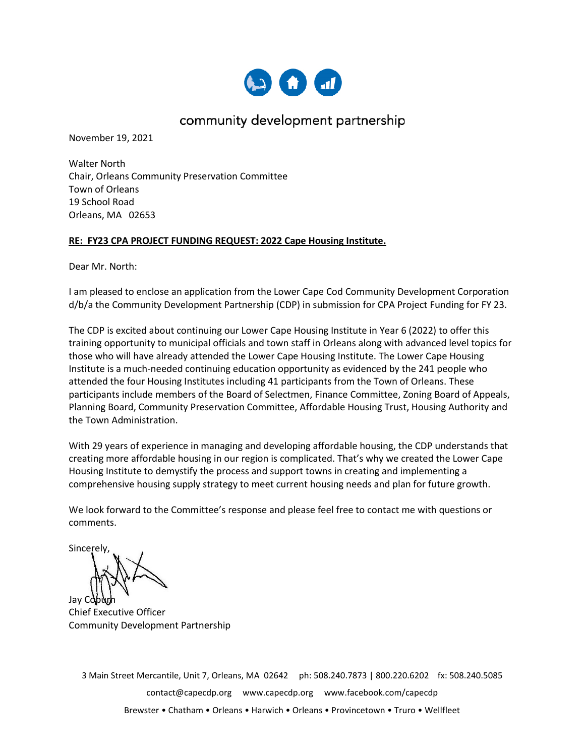

### community development partnership

November 19, 2021

Walter North Chair, Orleans Community Preservation Committee Town of Orleans 19 School Road Orleans, MA 02653

#### **RE: FY23 CPA PROJECT FUNDING REQUEST: 2022 Cape Housing Institute.**

Dear Mr. North:

I am pleased to enclose an application from the Lower Cape Cod Community Development Corporation d/b/a the Community Development Partnership (CDP) in submission for CPA Project Funding for FY 23.

The CDP is excited about continuing our Lower Cape Housing Institute in Year 6 (2022) to offer this training opportunity to municipal officials and town staff in Orleans along with advanced level topics for those who will have already attended the Lower Cape Housing Institute. The Lower Cape Housing Institute is a much-needed continuing education opportunity as evidenced by the 241 people who attended the four Housing Institutes including 41 participants from the Town of Orleans. These participants include members of the Board of Selectmen, Finance Committee, Zoning Board of Appeals, Planning Board, Community Preservation Committee, Affordable Housing Trust, Housing Authority and the Town Administration.

With 29 years of experience in managing and developing affordable housing, the CDP understands that creating more affordable housing in our region is complicated. That's why we created the Lower Cape Housing Institute to demystify the process and support towns in creating and implementing a comprehensive housing supply strategy to meet current housing needs and plan for future growth.

We look forward to the Committee's response and please feel free to contact me with questions or comments.

Sincerely,

Jay Cobur

Chief Executive Officer Community Development Partnership

3 Main Street Mercantile, Unit 7, Orleans, MA 02642 ph: 508.240.7873 | 800.220.6202 fx: 508.240.5085 [contact@capecdp.org](mailto:contact@capecdp.org) [www.capecdp.org](http://www.capecdp.org/) www.facebook.com/capecdp Brewster • Chatham • Orleans • Harwich • Orleans • Provincetown • Truro • Wellfleet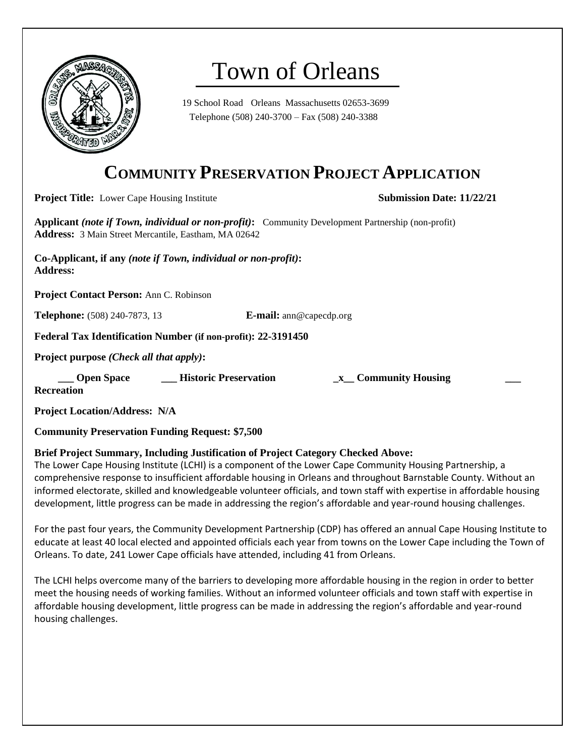

# Town of Orleans

19 School Road Orleans Massachusetts 02653-3699 Telephone (508) 240-3700 – Fax (508) 240-3388

## **COMMUNITY PRESERVATION PROJECT APPLICATION**

**Project Title:** Lower Cape Housing Institute **Submission Date: 11/22/21 Submission Date: 11/22/21** 

**Applicant** *(note if Town, individual or non-profit)***:** Community Development Partnership (non-profit) **Address:** 3 Main Street Mercantile, Eastham, MA 02642

**Co-Applicant, if any** *(note if Town, individual or non-profit)***: Address:** 

**Project Contact Person:** Ann C. Robinson

**Telephone:** (508) 240-7873, 13 **E-mail:** ann@capecdp.org

**Federal Tax Identification Number (if non-profit): 22-3191450**

**Project purpose** *(Check all that apply)***:**

 **\_\_\_ Open Space \_\_\_ Historic Preservation \_x\_\_ Community Housing \_\_\_** 

**Recreation**

**Project Location/Address: N/A**

**Community Preservation Funding Request: \$7,500**

#### **Brief Project Summary, Including Justification of Project Category Checked Above:**

The Lower Cape Housing Institute (LCHI) is a component of the Lower Cape Community Housing Partnership, a comprehensive response to insufficient affordable housing in Orleans and throughout Barnstable County. Without an informed electorate, skilled and knowledgeable volunteer officials, and town staff with expertise in affordable housing development, little progress can be made in addressing the region's affordable and year-round housing challenges.

For the past four years, the Community Development Partnership (CDP) has offered an annual Cape Housing Institute to educate at least 40 local elected and appointed officials each year from towns on the Lower Cape including the Town of Orleans. To date, 241 Lower Cape officials have attended, including 41 from Orleans.

The LCHI helps overcome many of the barriers to developing more affordable housing in the region in order to better meet the housing needs of working families. Without an informed volunteer officials and town staff with expertise in affordable housing development, little progress can be made in addressing the region's affordable and year-round housing challenges.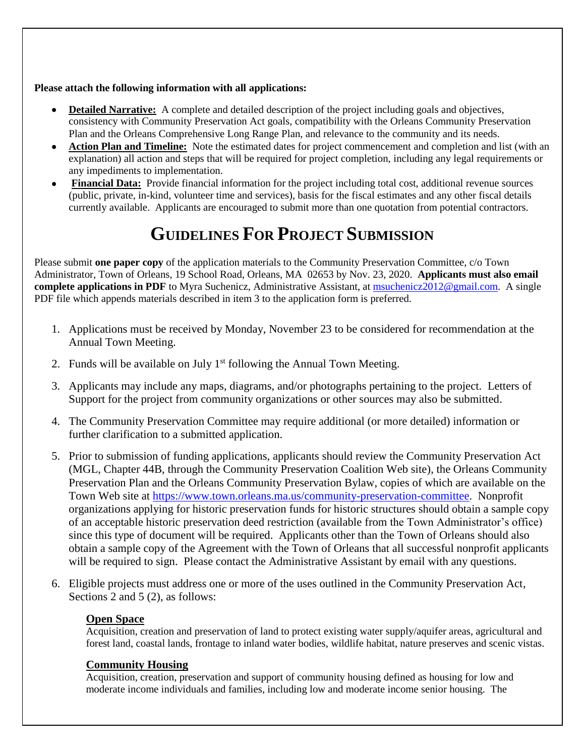#### **Please attach the following information with all applications:**

- **Detailed Narrative:** A complete and detailed description of the project including goals and objectives, consistency with Community Preservation Act goals, compatibility with the Orleans Community Preservation Plan and the Orleans Comprehensive Long Range Plan, and relevance to the community and its needs.
- **Action Plan and Timeline:** Note the estimated dates for project commencement and completion and list (with an explanation) all action and steps that will be required for project completion, including any legal requirements or any impediments to implementation.
- **Financial Data:** Provide financial information for the project including total cost, additional revenue sources (public, private, in-kind, volunteer time and services), basis for the fiscal estimates and any other fiscal details currently available. Applicants are encouraged to submit more than one quotation from potential contractors.

# **GUIDELINES FOR PROJECT SUBMISSION**

Please submit **one paper copy** of the application materials to the Community Preservation Committee, c/o Town Administrator, Town of Orleans, 19 School Road, Orleans, MA 02653 by Nov. 23, 2020. **Applicants must also email complete applications in PDF** to Myra Suchenicz, Administrative Assistant, at [msuchenicz2012@gmail.com.](file:///C:/Users/suche/Documents/Orleans%20CPC/CPC%20Application%20materials/msuchenicz2012@gmail.com) A single PDF file which appends materials described in item 3 to the application form is preferred.

- 1. Applications must be received by Monday, November 23 to be considered for recommendation at the Annual Town Meeting.
- 2. Funds will be available on July  $1<sup>st</sup>$  following the Annual Town Meeting.
- 3. Applicants may include any maps, diagrams, and/or photographs pertaining to the project. Letters of Support for the project from community organizations or other sources may also be submitted.
- 4. The Community Preservation Committee may require additional (or more detailed) information or further clarification to a submitted application.
- 5. Prior to submission of funding applications, applicants should review the Community Preservation Act (MGL, Chapter 44B, through the Community Preservation Coalition Web site), the Orleans Community Preservation Plan and the Orleans Community Preservation Bylaw, copies of which are available on the Town Web site at [https://www.town.orleans.ma.us/community-preservation-committee.](https://www.town.orleans.ma.us/community-preservation-committee) Nonprofit organizations applying for historic preservation funds for historic structures should obtain a sample copy of an acceptable historic preservation deed restriction (available from the Town Administrator's office) since this type of document will be required. Applicants other than the Town of Orleans should also obtain a sample copy of the Agreement with the Town of Orleans that all successful nonprofit applicants will be required to sign. Please contact the Administrative Assistant by email with any questions.
- 6. Eligible projects must address one or more of the uses outlined in the Community Preservation Act, Sections 2 and 5 (2), as follows:

#### **Open Space**

Acquisition, creation and preservation of land to protect existing water supply/aquifer areas, agricultural and forest land, coastal lands, frontage to inland water bodies, wildlife habitat, nature preserves and scenic vistas.

#### **Community Housing**

Acquisition, creation, preservation and support of community housing defined as housing for low and moderate income individuals and families, including low and moderate income senior housing. The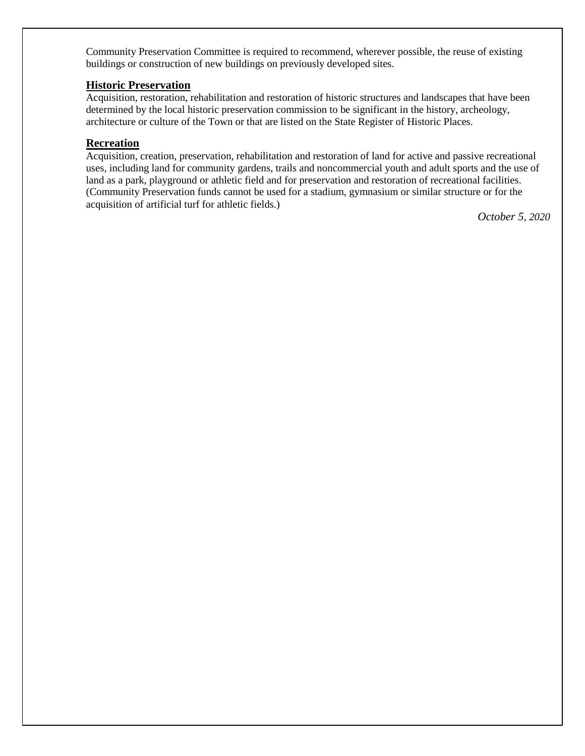Community Preservation Committee is required to recommend, wherever possible, the reuse of existing buildings or construction of new buildings on previously developed sites.

#### **Historic Preservation**

Acquisition, restoration, rehabilitation and restoration of historic structures and landscapes that have been determined by the local historic preservation commission to be significant in the history, archeology, architecture or culture of the Town or that are listed on the State Register of Historic Places.

#### **Recreation**

Acquisition, creation, preservation, rehabilitation and restoration of land for active and passive recreational uses, including land for community gardens, trails and noncommercial youth and adult sports and the use of land as a park, playground or athletic field and for preservation and restoration of recreational facilities. (Community Preservation funds cannot be used for a stadium, gymnasium or similar structure or for the acquisition of artificial turf for athletic fields.)

*October 5, 2020*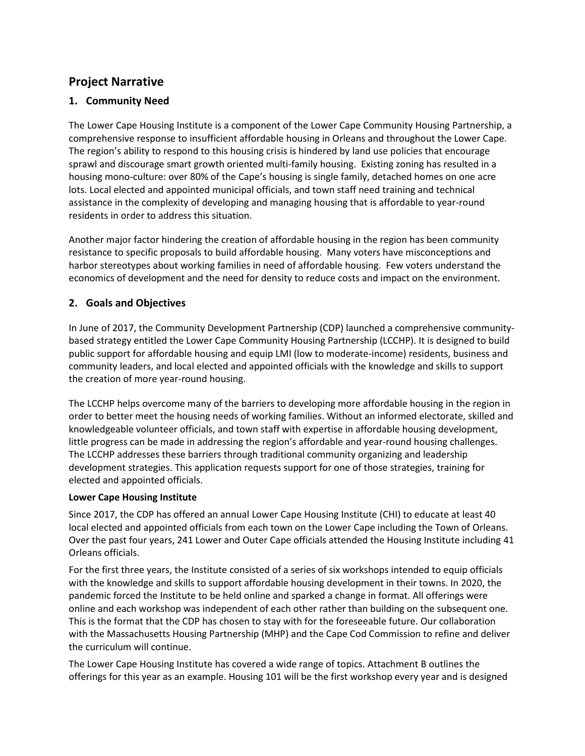### **Project Narrative**

#### **1. Community Need**

The Lower Cape Housing Institute is a component of the Lower Cape Community Housing Partnership, a comprehensive response to insufficient affordable housing in Orleans and throughout the Lower Cape. The region's ability to respond to this housing crisis is hindered by land use policies that encourage sprawl and discourage smart growth oriented multi-family housing. Existing zoning has resulted in a housing mono-culture: over 80% of the Cape's housing is single family, detached homes on one acre lots. Local elected and appointed municipal officials, and town staff need training and technical assistance in the complexity of developing and managing housing that is affordable to year-round residents in order to address this situation.

Another major factor hindering the creation of affordable housing in the region has been community resistance to specific proposals to build affordable housing. Many voters have misconceptions and harbor stereotypes about working families in need of affordable housing. Few voters understand the economics of development and the need for density to reduce costs and impact on the environment.

#### **2. Goals and Objectives**

In June of 2017, the Community Development Partnership (CDP) launched a comprehensive communitybased strategy entitled the Lower Cape Community Housing Partnership (LCCHP). It is designed to build public support for affordable housing and equip LMI (low to moderate-income) residents, business and community leaders, and local elected and appointed officials with the knowledge and skills to support the creation of more year-round housing.

The LCCHP helps overcome many of the barriers to developing more affordable housing in the region in order to better meet the housing needs of working families. Without an informed electorate, skilled and knowledgeable volunteer officials, and town staff with expertise in affordable housing development, little progress can be made in addressing the region's affordable and year-round housing challenges. The LCCHP addresses these barriers through traditional community organizing and leadership development strategies. This application requests support for one of those strategies, training for elected and appointed officials.

#### **Lower Cape Housing Institute**

Since 2017, the CDP has offered an annual Lower Cape Housing Institute (CHI) to educate at least 40 local elected and appointed officials from each town on the Lower Cape including the Town of Orleans. Over the past four years, 241 Lower and Outer Cape officials attended the Housing Institute including 41 Orleans officials.

For the first three years, the Institute consisted of a series of six workshops intended to equip officials with the knowledge and skills to support affordable housing development in their towns. In 2020, the pandemic forced the Institute to be held online and sparked a change in format. All offerings were online and each workshop was independent of each other rather than building on the subsequent one. This is the format that the CDP has chosen to stay with for the foreseeable future. Our collaboration with the Massachusetts Housing Partnership (MHP) and the Cape Cod Commission to refine and deliver the curriculum will continue.

The Lower Cape Housing Institute has covered a wide range of topics. Attachment B outlines the offerings for this year as an example. Housing 101 will be the first workshop every year and is designed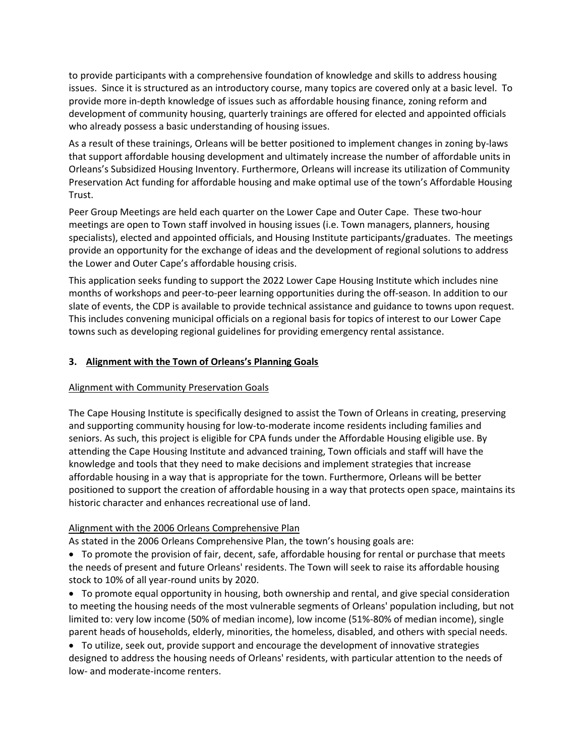to provide participants with a comprehensive foundation of knowledge and skills to address housing issues. Since it is structured as an introductory course, many topics are covered only at a basic level. To provide more in-depth knowledge of issues such as affordable housing finance, zoning reform and development of community housing, quarterly trainings are offered for elected and appointed officials who already possess a basic understanding of housing issues.

As a result of these trainings, Orleans will be better positioned to implement changes in zoning by-laws that support affordable housing development and ultimately increase the number of affordable units in Orleans's Subsidized Housing Inventory. Furthermore, Orleans will increase its utilization of Community Preservation Act funding for affordable housing and make optimal use of the town's Affordable Housing Trust.

Peer Group Meetings are held each quarter on the Lower Cape and Outer Cape. These two-hour meetings are open to Town staff involved in housing issues (i.e. Town managers, planners, housing specialists), elected and appointed officials, and Housing Institute participants/graduates. The meetings provide an opportunity for the exchange of ideas and the development of regional solutions to address the Lower and Outer Cape's affordable housing crisis.

This application seeks funding to support the 2022 Lower Cape Housing Institute which includes nine months of workshops and peer-to-peer learning opportunities during the off-season. In addition to our slate of events, the CDP is available to provide technical assistance and guidance to towns upon request. This includes convening municipal officials on a regional basis for topics of interest to our Lower Cape towns such as developing regional guidelines for providing emergency rental assistance.

#### **3. Alignment with the Town of Orleans's Planning Goals**

#### Alignment with Community Preservation Goals

The Cape Housing Institute is specifically designed to assist the Town of Orleans in creating, preserving and supporting community housing for low-to-moderate income residents including families and seniors. As such, this project is eligible for CPA funds under the Affordable Housing eligible use. By attending the Cape Housing Institute and advanced training, Town officials and staff will have the knowledge and tools that they need to make decisions and implement strategies that increase affordable housing in a way that is appropriate for the town. Furthermore, Orleans will be better positioned to support the creation of affordable housing in a way that protects open space, maintains its historic character and enhances recreational use of land.

#### Alignment with the 2006 Orleans Comprehensive Plan

As stated in the 2006 Orleans Comprehensive Plan, the town's housing goals are:

• To promote the provision of fair, decent, safe, affordable housing for rental or purchase that meets the needs of present and future Orleans' residents. The Town will seek to raise its affordable housing stock to 10% of all year-round units by 2020.

• To promote equal opportunity in housing, both ownership and rental, and give special consideration to meeting the housing needs of the most vulnerable segments of Orleans' population including, but not limited to: very low income (50% of median income), low income (51%-80% of median income), single parent heads of households, elderly, minorities, the homeless, disabled, and others with special needs.

• To utilize, seek out, provide support and encourage the development of innovative strategies designed to address the housing needs of Orleans' residents, with particular attention to the needs of low- and moderate-income renters.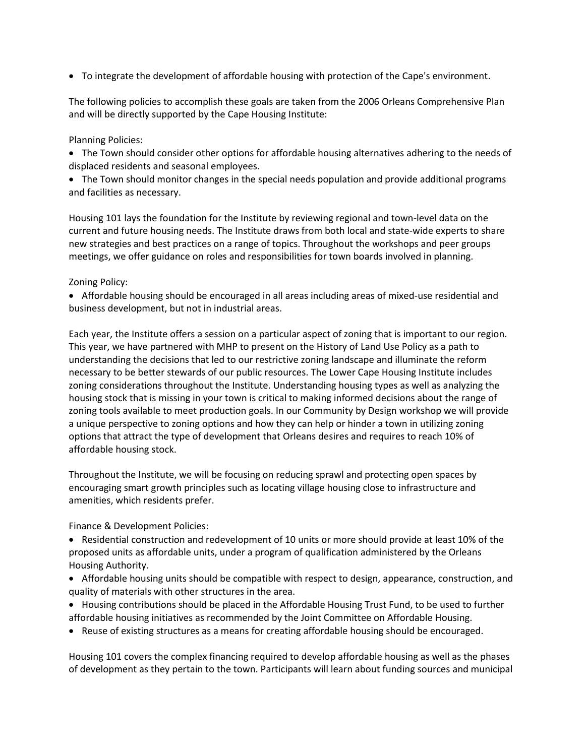• To integrate the development of affordable housing with protection of the Cape's environment.

The following policies to accomplish these goals are taken from the 2006 Orleans Comprehensive Plan and will be directly supported by the Cape Housing Institute:

#### Planning Policies:

- The Town should consider other options for affordable housing alternatives adhering to the needs of displaced residents and seasonal employees.
- The Town should monitor changes in the special needs population and provide additional programs and facilities as necessary.

Housing 101 lays the foundation for the Institute by reviewing regional and town-level data on the current and future housing needs. The Institute draws from both local and state-wide experts to share new strategies and best practices on a range of topics. Throughout the workshops and peer groups meetings, we offer guidance on roles and responsibilities for town boards involved in planning.

#### Zoning Policy:

• Affordable housing should be encouraged in all areas including areas of mixed-use residential and business development, but not in industrial areas.

Each year, the Institute offers a session on a particular aspect of zoning that is important to our region. This year, we have partnered with MHP to present on the History of Land Use Policy as a path to understanding the decisions that led to our restrictive zoning landscape and illuminate the reform necessary to be better stewards of our public resources. The Lower Cape Housing Institute includes zoning considerations throughout the Institute. Understanding housing types as well as analyzing the housing stock that is missing in your town is critical to making informed decisions about the range of zoning tools available to meet production goals. In our Community by Design workshop we will provide a unique perspective to zoning options and how they can help or hinder a town in utilizing zoning options that attract the type of development that Orleans desires and requires to reach 10% of affordable housing stock.

Throughout the Institute, we will be focusing on reducing sprawl and protecting open spaces by encouraging smart growth principles such as locating village housing close to infrastructure and amenities, which residents prefer.

#### Finance & Development Policies:

- Residential construction and redevelopment of 10 units or more should provide at least 10% of the proposed units as affordable units, under a program of qualification administered by the Orleans Housing Authority.
- Affordable housing units should be compatible with respect to design, appearance, construction, and quality of materials with other structures in the area.
- Housing contributions should be placed in the Affordable Housing Trust Fund, to be used to further affordable housing initiatives as recommended by the Joint Committee on Affordable Housing.
- Reuse of existing structures as a means for creating affordable housing should be encouraged.

Housing 101 covers the complex financing required to develop affordable housing as well as the phases of development as they pertain to the town. Participants will learn about funding sources and municipal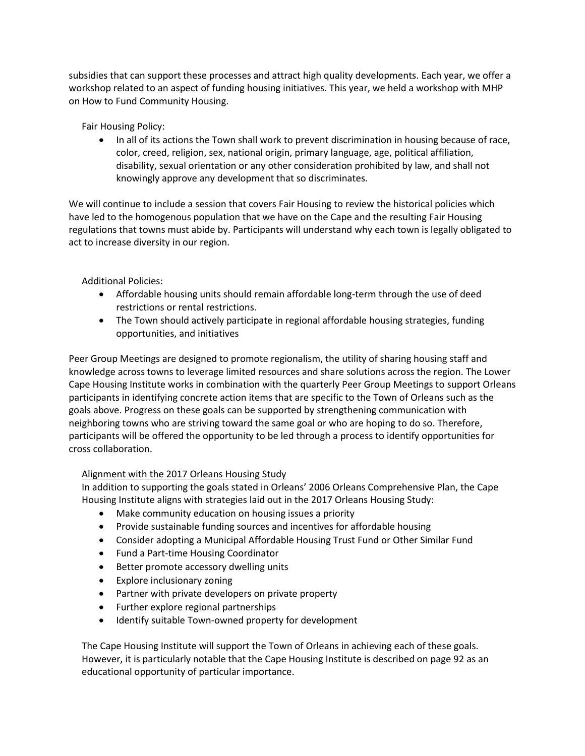subsidies that can support these processes and attract high quality developments. Each year, we offer a workshop related to an aspect of funding housing initiatives. This year, we held a workshop with MHP on How to Fund Community Housing.

Fair Housing Policy:

• In all of its actions the Town shall work to prevent discrimination in housing because of race, color, creed, religion, sex, national origin, primary language, age, political affiliation, disability, sexual orientation or any other consideration prohibited by law, and shall not knowingly approve any development that so discriminates.

We will continue to include a session that covers Fair Housing to review the historical policies which have led to the homogenous population that we have on the Cape and the resulting Fair Housing regulations that towns must abide by. Participants will understand why each town is legally obligated to act to increase diversity in our region.

#### Additional Policies:

- Affordable housing units should remain affordable long-term through the use of deed restrictions or rental restrictions.
- The Town should actively participate in regional affordable housing strategies, funding opportunities, and initiatives

Peer Group Meetings are designed to promote regionalism, the utility of sharing housing staff and knowledge across towns to leverage limited resources and share solutions across the region. The Lower Cape Housing Institute works in combination with the quarterly Peer Group Meetings to support Orleans participants in identifying concrete action items that are specific to the Town of Orleans such as the goals above. Progress on these goals can be supported by strengthening communication with neighboring towns who are striving toward the same goal or who are hoping to do so. Therefore, participants will be offered the opportunity to be led through a process to identify opportunities for cross collaboration.

#### Alignment with the 2017 Orleans Housing Study

In addition to supporting the goals stated in Orleans' 2006 Orleans Comprehensive Plan, the Cape Housing Institute aligns with strategies laid out in the 2017 Orleans Housing Study:

- Make community education on housing issues a priority
- Provide sustainable funding sources and incentives for affordable housing
- Consider adopting a Municipal Affordable Housing Trust Fund or Other Similar Fund
- Fund a Part-time Housing Coordinator
- Better promote accessory dwelling units
- Explore inclusionary zoning
- Partner with private developers on private property
- Further explore regional partnerships
- Identify suitable Town-owned property for development

The Cape Housing Institute will support the Town of Orleans in achieving each of these goals. However, it is particularly notable that the Cape Housing Institute is described on page 92 as an educational opportunity of particular importance.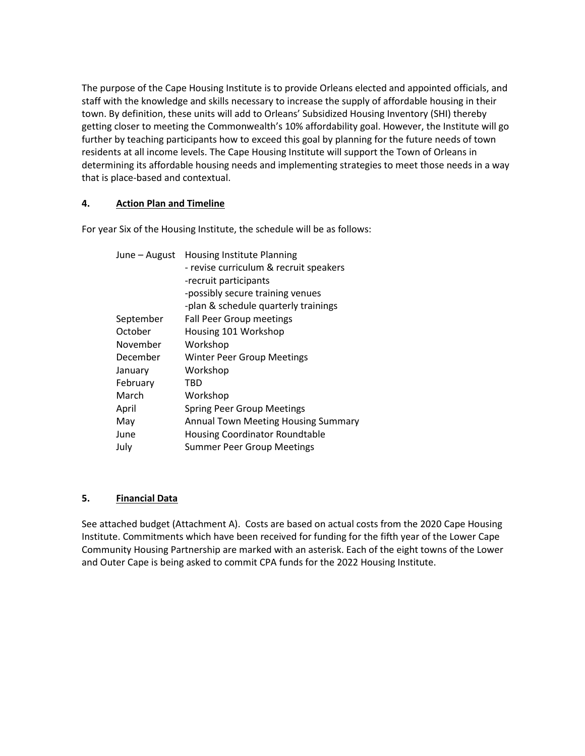The purpose of the Cape Housing Institute is to provide Orleans elected and appointed officials, and staff with the knowledge and skills necessary to increase the supply of affordable housing in their town. By definition, these units will add to Orleans' Subsidized Housing Inventory (SHI) thereby getting closer to meeting the Commonwealth's 10% affordability goal. However, the Institute will go further by teaching participants how to exceed this goal by planning for the future needs of town residents at all income levels. The Cape Housing Institute will support the Town of Orleans in determining its affordable housing needs and implementing strategies to meet those needs in a way that is place-based and contextual.

#### **4. Action Plan and Timeline**

For year Six of the Housing Institute, the schedule will be as follows:

| June - August | Housing Institute Planning             |
|---------------|----------------------------------------|
|               | - revise curriculum & recruit speakers |
|               | -recruit participants                  |
|               | -possibly secure training venues       |
|               | -plan & schedule quarterly trainings   |
| September     | <b>Fall Peer Group meetings</b>        |
| October       | Housing 101 Workshop                   |
| November      | Workshop                               |
| December      | <b>Winter Peer Group Meetings</b>      |
| January       | Workshop                               |
| February      | TBD                                    |
| March         | Workshop                               |
| April         | <b>Spring Peer Group Meetings</b>      |
| May           | Annual Town Meeting Housing Summary    |
| June          | <b>Housing Coordinator Roundtable</b>  |
| July          | <b>Summer Peer Group Meetings</b>      |
|               |                                        |

#### **5. Financial Data**

See attached budget (Attachment A). Costs are based on actual costs from the 2020 Cape Housing Institute. Commitments which have been received for funding for the fifth year of the Lower Cape Community Housing Partnership are marked with an asterisk. Each of the eight towns of the Lower and Outer Cape is being asked to commit CPA funds for the 2022 Housing Institute.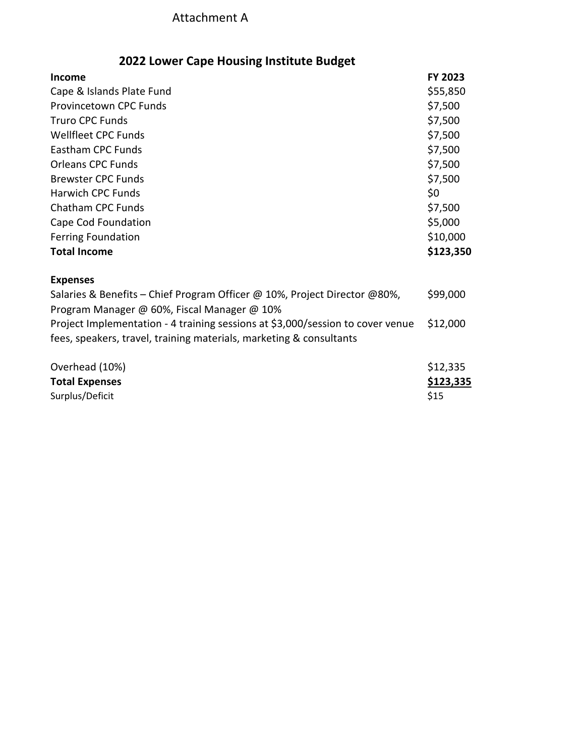### Attachment A

### **2022 Lower Cape Housing Institute Budget**

| <b>Income</b>                                                                                                            | FY 2023   |
|--------------------------------------------------------------------------------------------------------------------------|-----------|
| Cape & Islands Plate Fund                                                                                                |           |
| <b>Provincetown CPC Funds</b>                                                                                            |           |
| <b>Truro CPC Funds</b>                                                                                                   |           |
| <b>Wellfleet CPC Funds</b>                                                                                               |           |
| Eastham CPC Funds                                                                                                        |           |
| <b>Orleans CPC Funds</b>                                                                                                 |           |
| <b>Brewster CPC Funds</b>                                                                                                |           |
| <b>Harwich CPC Funds</b>                                                                                                 |           |
| <b>Chatham CPC Funds</b>                                                                                                 | \$7,500   |
| Cape Cod Foundation                                                                                                      |           |
| <b>Ferring Foundation</b>                                                                                                | \$10,000  |
| <b>Total Income</b>                                                                                                      | \$123,350 |
| <b>Expenses</b>                                                                                                          |           |
| Salaries & Benefits - Chief Program Officer @ 10%, Project Director @80%,<br>Program Manager @ 60%, Fiscal Manager @ 10% |           |
| Project Implementation - 4 training sessions at \$3,000/session to cover venue                                           |           |
| fees, speakers, travel, training materials, marketing & consultants                                                      |           |
| Overhead (10%)                                                                                                           | \$12,335  |
| <b>Total Expenses</b>                                                                                                    | \$123,335 |
| Surplus/Deficit                                                                                                          | \$15      |